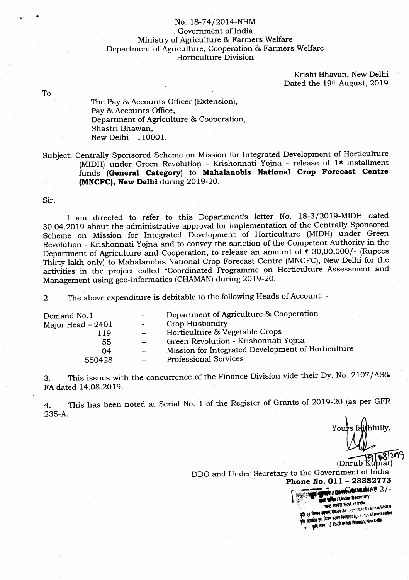## No. 18-7412O14-NHM , Government of India Ministry of Agriculture & Farmers Welfare Department of Agriculture, Cooperation & Farmers WeHare Horticulture Division

Krishi Bhavan, New Delhi Dated the 19th August, 2019

To

The Pay & Accounts Officer (Extension), Pay & Accounts Office, Department of Agriculture & Cooperation, Shastri Bhawan, New Delhi - 110001.

Subject: Centrally Sponsored Scheme on Mission for Integrated Development of Horticulture (MIDH) under Green Revolution - Krishonnati Yojna - release of 1<sup>st</sup> installment funds (General Category) to Mahalanobis National Crop Forecast Centre (MNCFC), New Delhi during 2019-20.

Sir,

I am directed to refer to this Department's letter No. 18-3/2019-MIDH dated 3O.O4.2Olg about the administrative approval for implementation of the Centrally Sponsored scheme on Mission for Integrated Development of Horticulture (MIDH) under Green Revolution - Krishonnati Yojna and to convey the sanction of the Competent Authority in the Department of Agriculture and Cooperation, to release an amount of  $\bar{\mathfrak{c}}$  30,00,000/- (Rupees Thirty lakh only) to Mahalanobis National Crop Forecast Centre (MNCFC), New Delhi for the activities in the project called "Coordinated Programme on Horticulture Assessment and Management using geo-informatics (CHAMAN) during 2Ol9-2O.

2. The above expenditure is debitable to the following Heads of Account: -

| Demand No.1       | Department of Agriculture & Cooperation            |
|-------------------|----------------------------------------------------|
| Major Head – 2401 | Crop Husbandry                                     |
| ' 19              | Horticulture & Vegetable Crops                     |
| 55                | Green Revolution - Krishonnati Yojna               |
| 04                | Mission for Integrated Development of Horticulture |
| 550428            | <b>Professional Services</b>                       |
|                   |                                                    |

<sup>3</sup> This issues with the concurrence of the Finance Division vide their Dy. No. 2107/AS& FA dated 14.08.2019.

4. 235-A. This has been noted at Serial No. 1 of the Register of Grants of 2019-20 (as per GFR

's faithfully, (Dhrub

**समिद / Under Secretary**<br>क्रस्त सरकार/Govt. of India<br>क्रम मंत्रातय / M.c. Agriculture & Farmers Welfare FI GREEN HARRY INC. And collective & Patters Community र पर किसान कल्याण विमान/DoAst. Copper and more<br>क्रीस एवं किसान कल्याण /Krishi Bhawan, New Delhi

DDO and Under Secretary to the Government of India Phone No.  $011 - 23382773$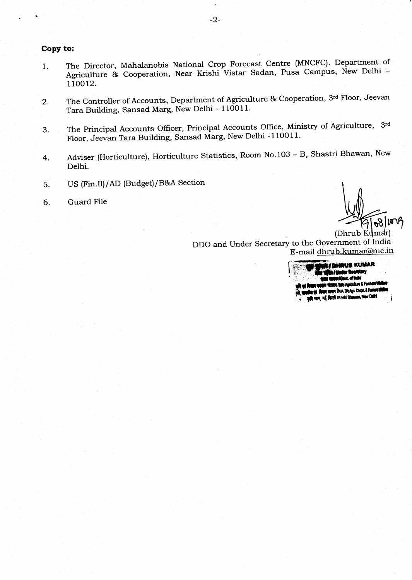## Copy to:

- I The Director, Mahalanobis National Crop Forecast Centre (MNCFC). Department of Agriculture & Cooperation, Near Krishi Vistar Sadan, Pusa Campus, New Delhi -110012.
- 2 The Controller of Accounts, Department of Agriculture & Cooperation, 3rd Floor, Jeevan Tara Building, Sansad Marg, New Delhi - 110011.
- The Principal Accounts Officer, Principal Accounts Office, Ministry of Agriculture, 3rd Floor, Jeevan Tara Building, Sansad Marg, New Delhi -110011. 3.
- Adviser (Horticulture), Horticulture Statistics, Room No.103 B, Shastri Bhawan, New Delhi. 4
- 5 US (Fin.II)/AD (Budget)/B&A Section
- 6 Guard File

 $\theta$  ) $\mu$   $\mu$ 

(Dhrub DDO and Under Secretary to the Government of India E-mail dhrub.kumar@nic.in

> **MARUB KUMAR** /M/o Agricultu m 1 Fao क्स्ब्ल किप्रन/DioAgri. Coopn. & Faman.<br>दिल्ली /Krishi Bhawan, New Dalhi